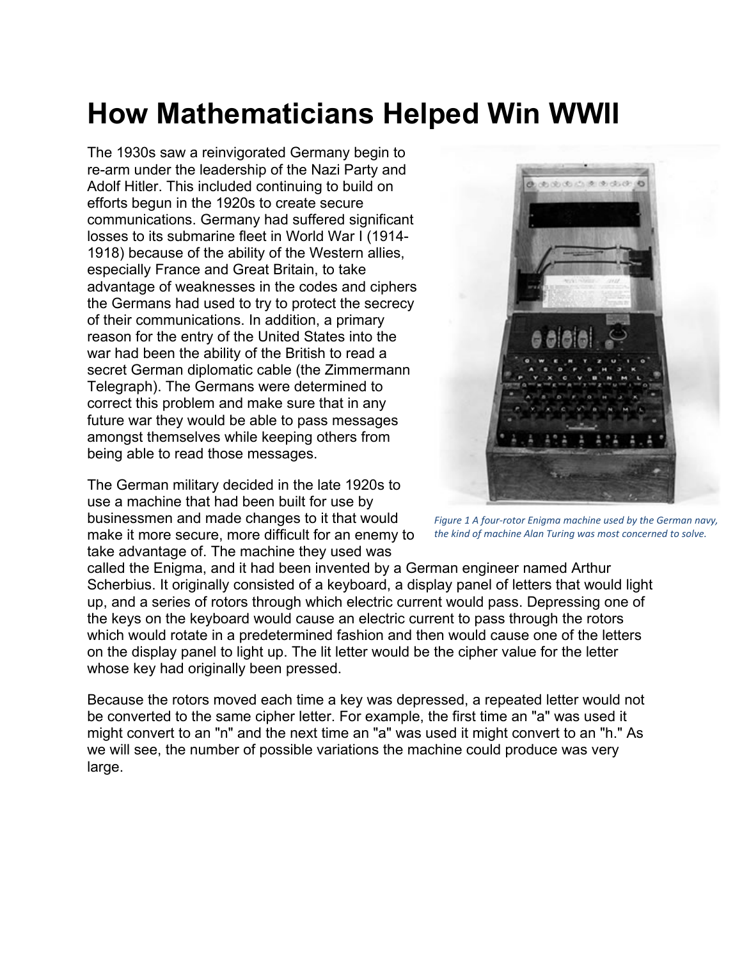## **How Mathematicians Helped Win WWII**

The 1930s saw a reinvigorated Germany begin to re-arm under the leadership of the Nazi Party and Adolf Hitler. This included continuing to build on efforts begun in the 1920s to create secure communications. Germany had suffered significant losses to its submarine fleet in World War I (1914- 1918) because of the ability of the Western allies, especially France and Great Britain, to take advantage of weaknesses in the codes and ciphers the Germans had used to try to protect the secrecy of their communications. In addition, a primary reason for the entry of the United States into the war had been the ability of the British to read a secret German diplomatic cable (the Zimmermann Telegraph). The Germans were determined to correct this problem and make sure that in any future war they would be able to pass messages amongst themselves while keeping others from being able to read those messages.

The German military decided in the late 1920s to use a machine that had been built for use by businessmen and made changes to it that would make it more secure, more difficult for an enemy to take advantage of. The machine they used was



*Figure 1 A four-rotor Enigma machine used by the German navy, the kind of machine Alan Turing was most concerned to solve.*

called the Enigma, and it had been invented by a German engineer named Arthur Scherbius. It originally consisted of a keyboard, a display panel of letters that would light up, and a series of rotors through which electric current would pass. Depressing one of the keys on the keyboard would cause an electric current to pass through the rotors which would rotate in a predetermined fashion and then would cause one of the letters on the display panel to light up. The lit letter would be the cipher value for the letter whose key had originally been pressed.

Because the rotors moved each time a key was depressed, a repeated letter would not be converted to the same cipher letter. For example, the first time an "a" was used it might convert to an "n" and the next time an "a" was used it might convert to an "h." As we will see, the number of possible variations the machine could produce was very large.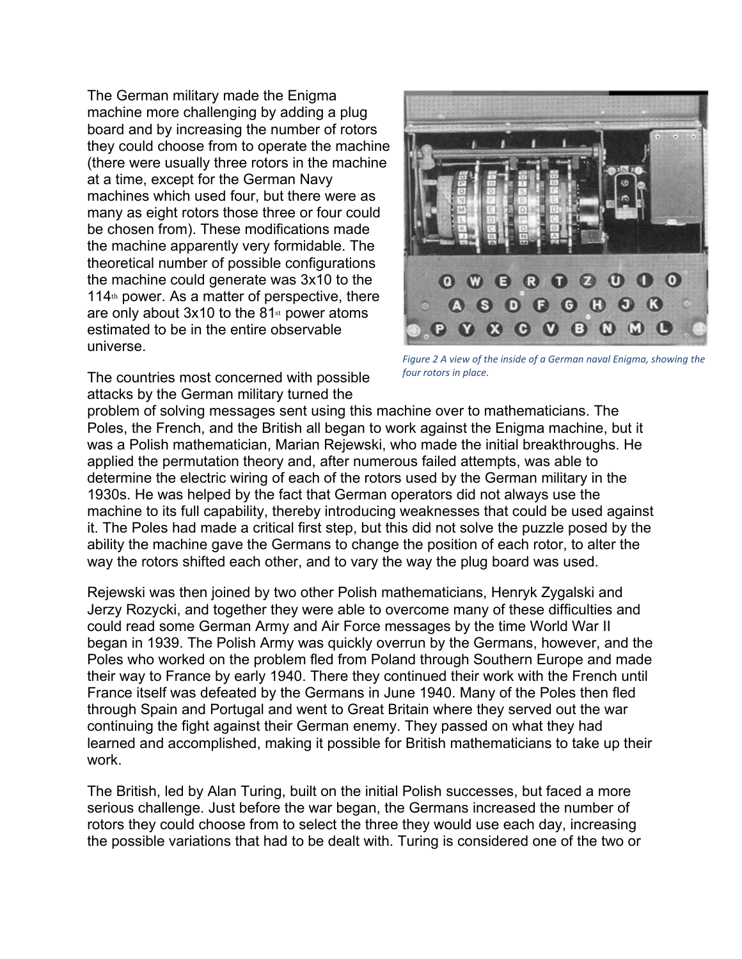The German military made the Enigma machine more challenging by adding a plug board and by increasing the number of rotors they could choose from to operate the machine (there were usually three rotors in the machine at a time, except for the German Navy machines which used four, but there were as many as eight rotors those three or four could be chosen from). These modifications made the machine apparently very formidable. The theoretical number of possible configurations the machine could generate was 3x10 to the  $114<sup>th</sup>$  power. As a matter of perspective, there are only about  $3x10$  to the  $81$ <sup>st</sup> power atoms estimated to be in the entire observable universe.

The countries most concerned with possible attacks by the German military turned the



*Figure 2 A view of the inside of a German naval Enigma, showing the four rotors in place.*

problem of solving messages sent using this machine over to mathematicians. The Poles, the French, and the British all began to work against the Enigma machine, but it was a Polish mathematician, Marian Rejewski, who made the initial breakthroughs. He applied the permutation theory and, after numerous failed attempts, was able to determine the electric wiring of each of the rotors used by the German military in the 1930s. He was helped by the fact that German operators did not always use the machine to its full capability, thereby introducing weaknesses that could be used against it. The Poles had made a critical first step, but this did not solve the puzzle posed by the ability the machine gave the Germans to change the position of each rotor, to alter the way the rotors shifted each other, and to vary the way the plug board was used.

Rejewski was then joined by two other Polish mathematicians, Henryk Zygalski and Jerzy Rozycki, and together they were able to overcome many of these difficulties and could read some German Army and Air Force messages by the time World War II began in 1939. The Polish Army was quickly overrun by the Germans, however, and the Poles who worked on the problem fled from Poland through Southern Europe and made their way to France by early 1940. There they continued their work with the French until France itself was defeated by the Germans in June 1940. Many of the Poles then fled through Spain and Portugal and went to Great Britain where they served out the war continuing the fight against their German enemy. They passed on what they had learned and accomplished, making it possible for British mathematicians to take up their work.

The British, led by Alan Turing, built on the initial Polish successes, but faced a more serious challenge. Just before the war began, the Germans increased the number of rotors they could choose from to select the three they would use each day, increasing the possible variations that had to be dealt with. Turing is considered one of the two or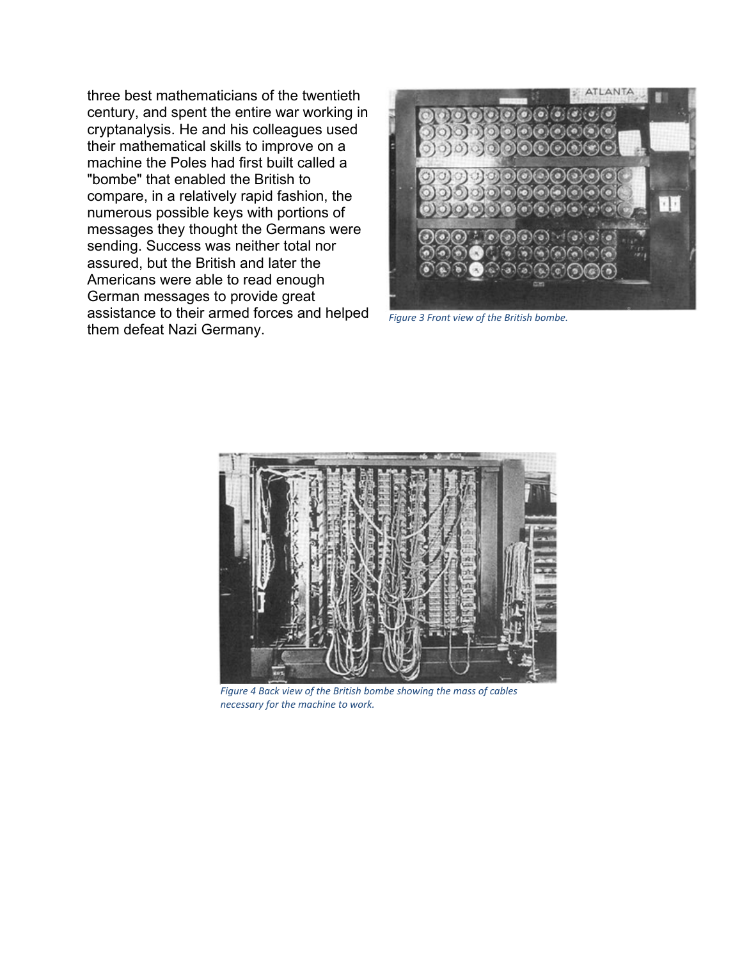three best mathematicians of the twentieth century, and spent the entire war working in cryptanalysis. He and his colleagues used their mathematical skills to improve on a machine the Poles had first built called a "bombe" that enabled the British to compare, in a relatively rapid fashion, the numerous possible keys with portions of messages they thought the Germans were sending. Success was neither total nor assured, but the British and later the Americans were able to read enough German messages to provide great assistance to their armed forces and helped them defeat Nazi Germany.



*Figure 3 Front view of the British bombe.*



*Figure 4 Back view of the British bombe showing the mass of cables necessary for the machine to work.*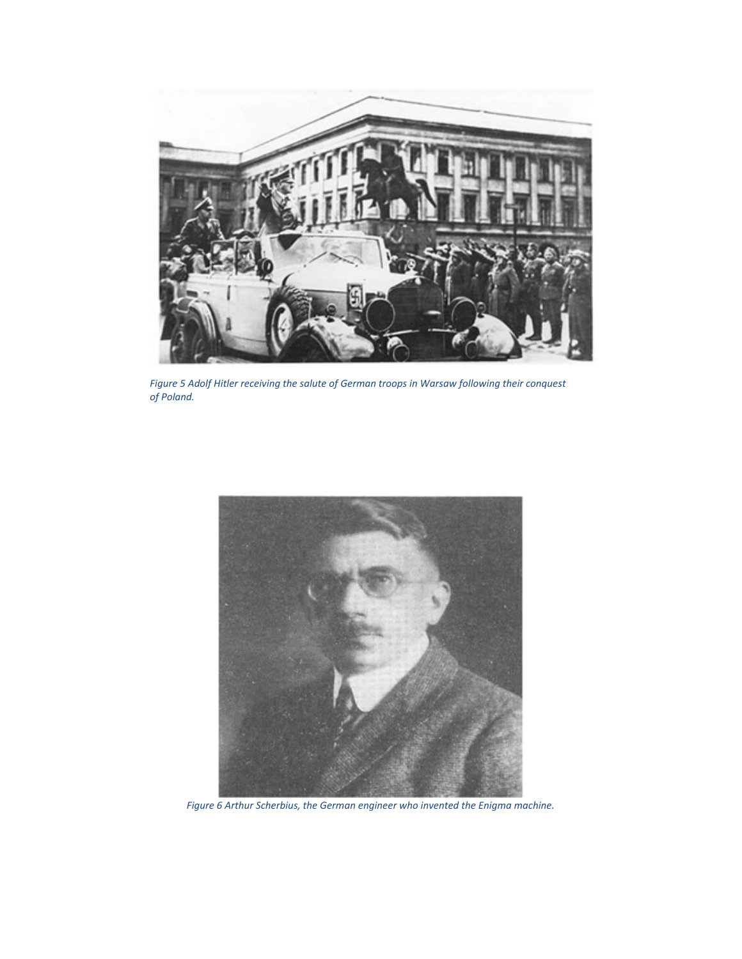

*Figure 5 Adolf Hitler receiving the salute of German troops in Warsaw following their conquest of Poland.*



*Figure 6 Arthur Scherbius, the German engineer who invented the Enigma machine.*